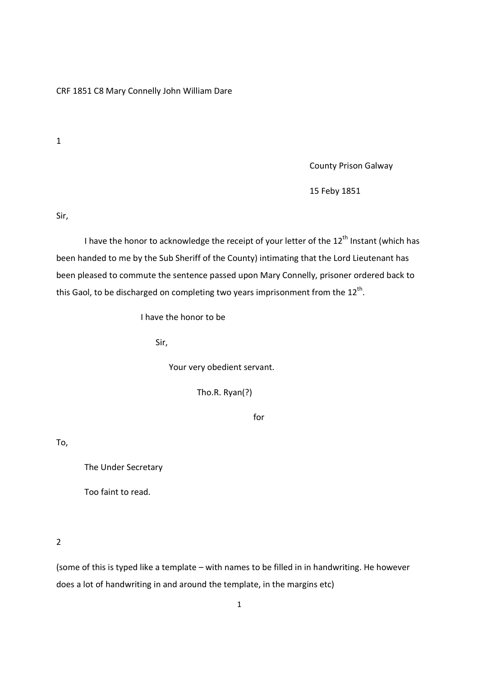CRF 1851 C8 Mary Connelly John William Dare

1

County Prison Galway

15 Feby 1851

Sir,

I have the honor to acknowledge the receipt of your letter of the  $12<sup>th</sup>$  Instant (which has been handed to me by the Sub Sheriff of the County) intimating that the Lord Lieutenant has been pleased to commute the sentence passed upon Mary Connelly, prisoner ordered back to this Gaol, to be discharged on completing two years imprisonment from the  $12^{\text{th}}$ .

I have the honor to be

Sir,

Your very obedient servant.

Tho.R. Ryan(?)

for

To,

The Under Secretary

Too faint to read.

2

(some of this is typed like a template – with names to be filled in in handwriting. He however does a lot of handwriting in and around the template, in the margins etc)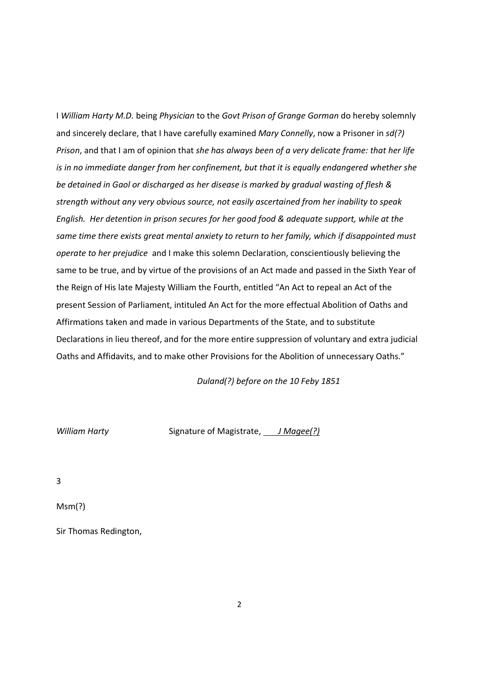I William Harty M.D. being Physician to the Govt Prison of Grange Gorman do hereby solemnly and sincerely declare, that I have carefully examined Mary Connelly, now a Prisoner in sd(?) Prison, and that I am of opinion that she has always been of a very delicate frame: that her life is in no immediate danger from her confinement, but that it is equally endangered whether she be detained in Gaol or discharged as her disease is marked by gradual wasting of flesh & strength without any very obvious source, not easily ascertained from her inability to speak English. Her detention in prison secures for her good food & adequate support, while at the same time there exists great mental anxiety to return to her family, which if disappointed must operate to her prejudice and I make this solemn Declaration, conscientiously believing the same to be true, and by virtue of the provisions of an Act made and passed in the Sixth Year of the Reign of His late Majesty William the Fourth, entitled "An Act to repeal an Act of the present Session of Parliament, intituled An Act for the more effectual Abolition of Oaths and Affirmations taken and made in various Departments of the State, and to substitute Declarations in lieu thereof, and for the more entire suppression of voluntary and extra judicial Oaths and Affidavits, and to make other Provisions for the Abolition of unnecessary Oaths."

Duland(?) before on the 10 Feby 1851

William Harty Signature of Magistrate, J Magee(?)

3

Msm(?)

Sir Thomas Redington,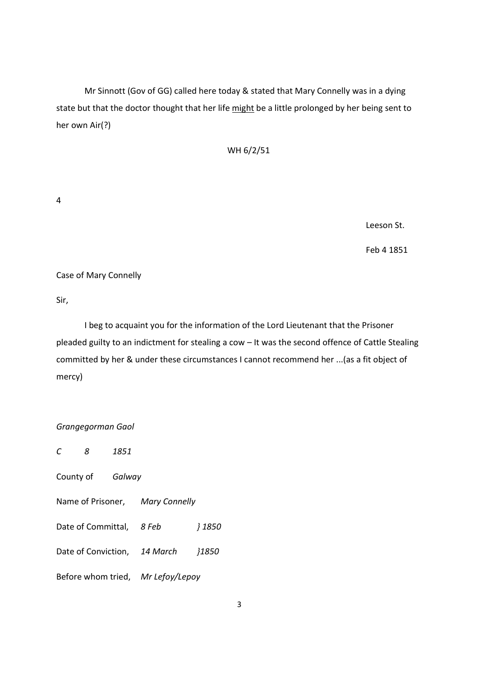Mr Sinnott (Gov of GG) called here today & stated that Mary Connelly was in a dying state but that the doctor thought that her life might be a little prolonged by her being sent to her own Air(?)

WH 6/2/51

4

Leeson St.

Feb 4 1851

Case of Mary Connelly

Sir,

 I beg to acquaint you for the information of the Lord Lieutenant that the Prisoner pleaded guilty to an indictment for stealing a cow – It was the second offence of Cattle Stealing committed by her & under these circumstances I cannot recommend her ...(as a fit object of mercy)

## Grangegorman Gaol

C 8 1851 County of Galway Name of Prisoner, Mary Connelly Date of Committal, 8 Feb } 1850 Date of Conviction, 14 March }1850 Before whom tried, Mr Lefoy/Lepoy